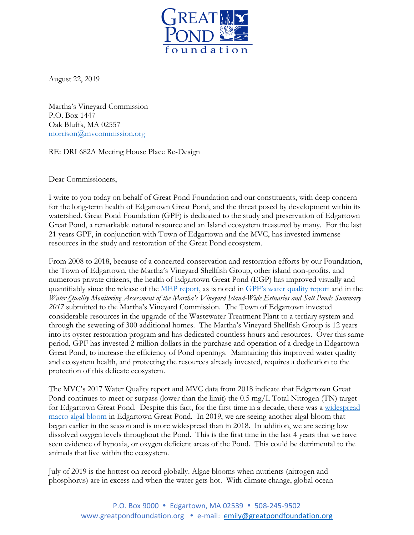

August 22, 2019

Martha's Vineyard Commission P.O. Box 1447 Oak Bluffs, MA 02557 [morrison@mvcommission.org](mailto:morrison@mvcommission.org)

RE: DRI 682A Meeting House Place Re-Design

Dear Commissioners,

I write to you today on behalf of Great Pond Foundation and our constituents, with deep concern for the long-term health of Edgartown Great Pond, and the threat posed by development within its watershed. Great Pond Foundation (GPF) is dedicated to the study and preservation of Edgartown Great Pond, a remarkable natural resource and an Island ecosystem treasured by many. For the last 21 years GPF, in conjunction with Town of Edgartown and the MVC, has invested immense resources in the study and restoration of the Great Pond ecosystem.

From 2008 to 2018, because of a concerted conservation and restoration efforts by our Foundation, the Town of Edgartown, the Martha's Vineyard Shellfish Group, other island non-profits, and numerous private citizens, the health of Edgartown Great Pond (EGP) has improved visually and quantifiably since the release of the [MEP report,](http://www.mvcommission.org/deploy/current/index.php?q=edgartown-great-pond) as is noted in [GPF's water quality report](https://greatpondfoundation.org/wp-content/uploads/GPF-Data-Story_2018.pdf) and in the *Water Quality Monitoring Assessment of the Martha's Vineyard Island-Wide Estuaries and Salt Ponds Summary 2017* submitted to the Martha's Vineyard Commission. The Town of Edgartown invested considerable resources in the upgrade of the Wastewater Treatment Plant to a tertiary system and through the sewering of 300 additional homes. The Martha's Vineyard Shellfish Group is 12 years into its oyster restoration program and has dedicated countless hours and resources. Over this same period, GPF has invested 2 million dollars in the purchase and operation of a dredge in Edgartown Great Pond, to increase the efficiency of Pond openings. Maintaining this improved water quality and ecosystem health, and protecting the resources already invested, requires a dedication to the protection of this delicate ecosystem.

The MVC's 2017 Water Quality report and MVC data from 2018 indicate that Edgartown Great Pond continues to meet or surpass (lower than the limit) the 0.5 mg/L Total Nitrogen (TN) target for Edgartown Great Pond. Despite this fact, for the first time in a decade, there was a [widespread](https://greatpondfoundation.org/2018/07/20/algal-update-for-egp/)  [macro algal bloom](https://greatpondfoundation.org/2018/07/20/algal-update-for-egp/) in Edgartown Great Pond. In 2019, we are seeing another algal bloom that began earlier in the season and is more widespread than in 2018. In addition, we are seeing low dissolved oxygen levels throughout the Pond. This is the first time in the last 4 years that we have seen evidence of hypoxia, or oxygen deficient areas of the Pond. This could be detrimental to the animals that live within the ecosystem.

July of 2019 is the hottest on record globally. Algae blooms when nutrients (nitrogen and phosphorus) are in excess and when the water gets hot. With climate change, global ocean